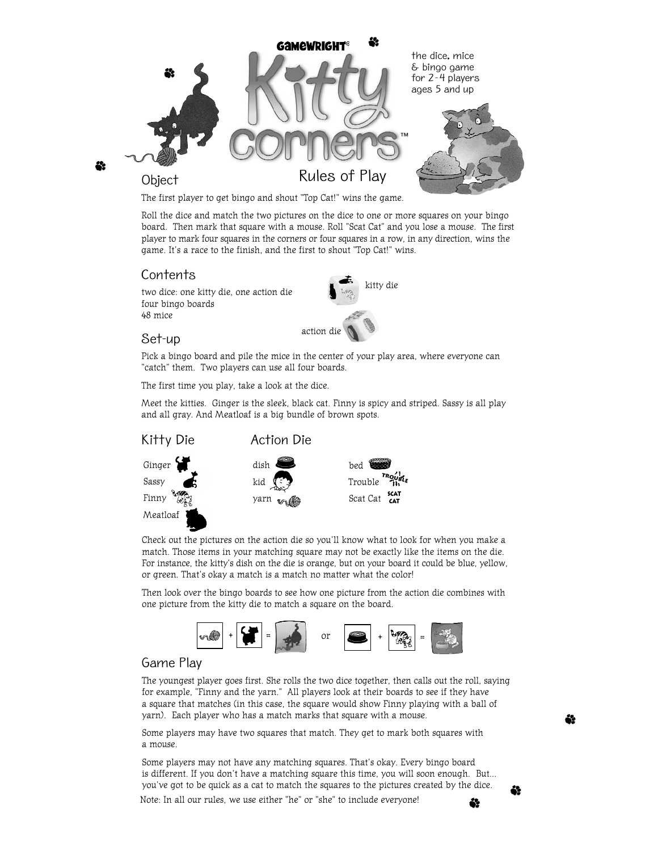

The first player to get bingo and shout "Top Cat!" wins the game.

Roll the dice and match the two pictures on the dice to one or more squares on your bingo board. Then mark that square with a mouse. Roll "Scat Cat" and you lose a mouse. The first player to mark four squares in the corners or four squares in a row, in any direction, wins the game. It's a race to the finish, and the first to shout "Top Cat!" wins.

## Contents

two dice: one kitty die, one action die four bingo boards 48 mice



## Set-up

Pick a bingo board and pile the mice in the center of your play area, where everyone can "catch" them. Two players can use all four boards.

The first time you play, take a look at the dice.

Meet the kitties. Ginger is the sleek, black cat. Finny is spicy and striped. Sassy is all play and all gray. And Meatloaf is a big bundle of brown spots.



Check out the pictures on the action die so you'll know what to look for when you make a match. Those items in your matching square may not be exactly like the items on the die. For instance, the kitty's dish on the die is orange, but on your board it could be blue, yellow, or green. That's okay a match is a match no matter what the color!

Then look over the bingo boards to see how one picture from the action die combines with one picture from the kitty die to match a square on the board.



# Game Play

The youngest player goes first. She rolls the two dice together, then calls out the roll, saying for example, "Finny and the yarn." All players look at their boards to see if they have a square that matches (in this case, the square would show Finny playing with a ball of yarn). Each player who has a match marks that square with a mouse.

Some players may have two squares that match. They get to mark both squares with a mouse.

Some players may not have any matching squares. That's okay. Every bingo board is different. If you don't have a matching square this time, you will soon enough. But... you've got to be quick as a cat to match the squares to the pictures created by the dice. Note: In all our rules, we use either "he" or "she" to include everyone!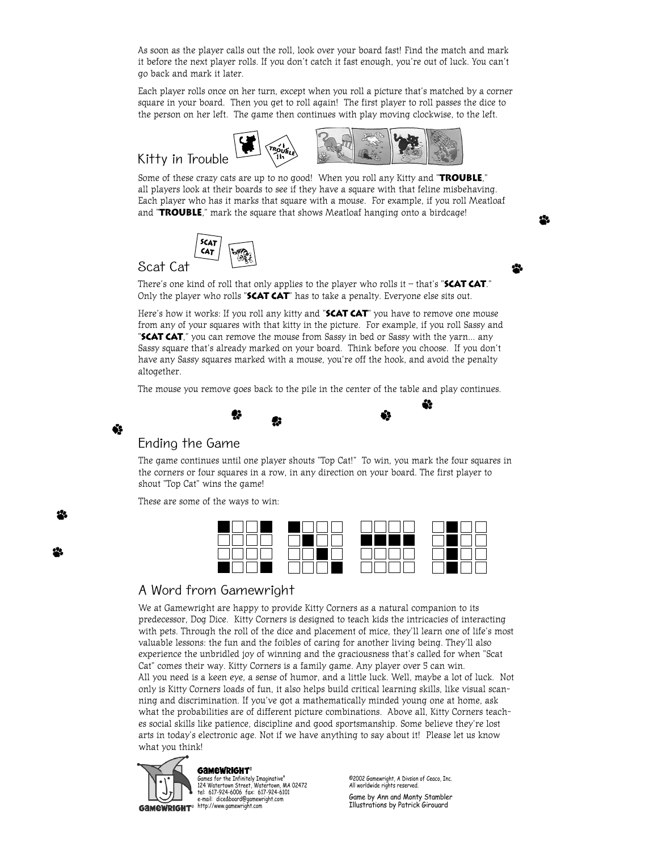As soon as the player calls out the roll, look over your board fast! Find the match and mark it before the next player rolls. If you don't catch it fast enough, you're out of luck. You can't go back and mark it later.

Each player rolls once on her turn, except when you roll a picture that's matched by a corner square in your board. Then you get to roll again! The first player to roll passes the dice to the person on her left. The game then continues with play moving clockwise, to the left.

# Kitty in Trouble





Some of these crazy cats are up to no good! When you roll any Kitty and "**Trouble**," all players look at their boards to see if they have a square with that feline misbehaving. Each player who has it marks that square with a mouse. For example, if you roll Meatloaf and "**Trouble**," mark the square that shows Meatloaf hanging onto a birdcage!



# Scat Cat

There's one kind of roll that only applies to the player who rolls it – that's "**Scat Cat**." Only the player who rolls "**Scat Cat**" has to take a penalty. Everyone else sits out.

Here's how it works: If you roll any kitty and "**Scat Cat**" you have to remove one mouse from any of your squares with that kitty in the picture. For example, if you roll Sassy and "**Scat Cat**," you can remove the mouse from Sassy in bed or Sassy with the yarn... any Sassy square that's already marked on your board. Think before you choose. If you don't have any Sassy squares marked with a mouse, you're off the hook, and avoid the penalty altogether.

The mouse you remove goes back to the pile in the center of the table and play continues.

## Ending the Game

Ġ

The game continues until one player shouts "Top Cat!" To win, you mark the four squares in the corners or four squares in a row, in any direction on your board. The first player to shout "Top Cat" wins the game!

These are some of the ways to win:



# A Word from Gamewright

We at Gamewright are happy to provide Kitty Corners as a natural companion to its predecessor, Dog Dice. Kitty Corners is designed to teach kids the intricacies of interacting with pets. Through the roll of the dice and placement of mice, they'll learn one of life's most valuable lessons: the fun and the foibles of caring for another living being. They'll also experience the unbridled joy of winning and the graciousness that's called for when "Scat Cat" comes their way. Kitty Corners is a family game. Any player over 5 can win. All you need is a keen eye, a sense of humor, and a little luck. Well, maybe a lot of luck. Not only is Kitty Corners loads of fun, it also helps build critical learning skills, like visual scanning and discrimination. If you've got a mathematically minded young one at home, ask what the probabilities are of different picture combinations. Above all, Kitty Corners teaches social skills like patience, discipline and good sportsmanship. Some believe they're lost arts in today's electronic age. Not if we have anything to say about it! Please let us know what you think!



Games for the Infinitely Imaginative® 124 Watertown Street, Watertown, MA 02472 tel: 617-924-6006 fax: 617-924-6101 e-mail: dice&board@gamewright.com

©2002 Gamewright, A Divsion of Ceaco, Inc. All worldwide rights reserved.

Game by Ann and Monty Stambler Illustrations by Patrick Girouard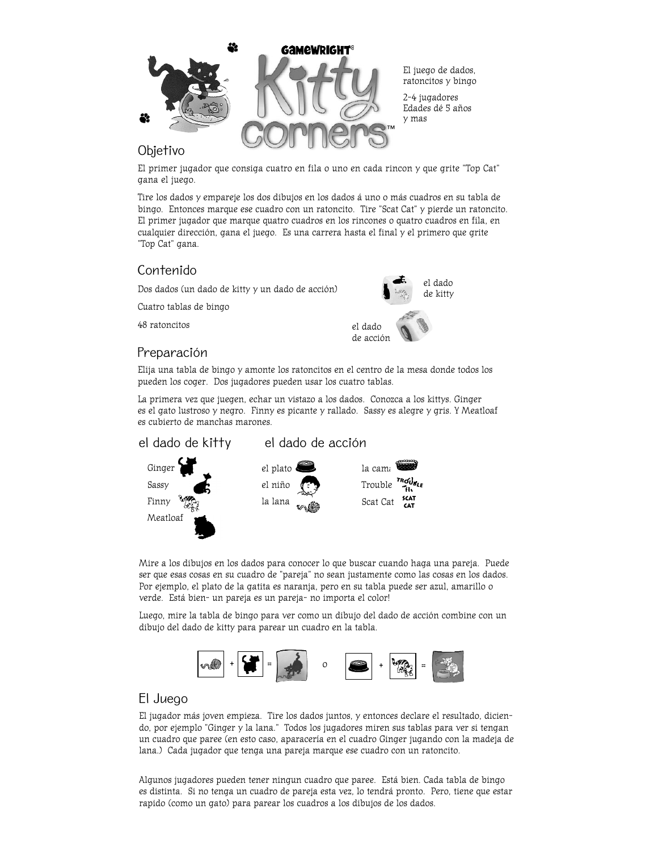

El juego de dados, ratoncitos y bingo

2-4 jugadores Edades dé 5 años y mas

### Objetivo

El primer jugador que consiga cuatro en fila o uno en cada rincon y que grite "Top Cat" gana el juego.

Tire los dados y empareje los dos dibujos en los dados á uno o más cuadros en su tabla de bingo. Entonces marque ese cuadro con un ratoncito. Tire "Scat Cat" y pierde un ratoncito. El primer jugador que marque quatro cuadros en los rincones o quatro cuadros en fila, en cualquier dirección, gana el juego. Es una carrera hasta el final y el primero que grite "Top Cat" gana.

# Contenido

Dos dados (un dado de kitty y un dado de acción)

Cuatro tablas de bingo

48 ratoncitos

# Preparación



Elija una tabla de bingo y amonte los ratoncitos en el centro de la mesa donde todos los pueden los coger. Dos jugadores pueden usar los cuatro tablas.

La primera vez que juegen, echar un vistazo a los dados. Conozca a los kittys. Ginger es el gato lustroso y negro. Finny es picante y rallado. Sassy es alegre y gris. Y Meatloaf es cubierto de manchas marones. \

### el dado de kitty el dado de acción



Mire a los dibujos en los dados para conocer lo que buscar cuando haga una pareja. Puede ser que esas cosas en su cuadro de "pareja" no sean justamente como las cosas en los dados. Por ejemplo, el plato de la gatita es naranja, pero en su tabla puede ser azul, amarillo o verde. Está bien- un pareja es un pareja- no importa el color!

Luego, mire la tabla de bingo para ver como un dibujo del dado de acción combine con un dibujo del dado de kitty para parear un cuadro en la tabla.



# El Juego

El jugador más joven empieza. Tire los dados juntos, y entonces declare el resultado, diciendo, por ejemplo "Ginger y la lana." Todos los jugadores miren sus tablas para ver si tengan un cuadro que paree (en esto caso, aparacería en el cuadro Ginger jugando con la madeja de lana.) Cada jugador que tenga una pareja marque ese cuadro con un ratoncito.

Algunos jugadores pueden tener ningun cuadro que paree. Está bien. Cada tabla de bingo es distinta. Si no tenga un cuadro de pareja esta vez, lo tendrá pronto. Pero, tiene que estar rapido (como un gato) para parear los cuadros a los dibujos de los dados.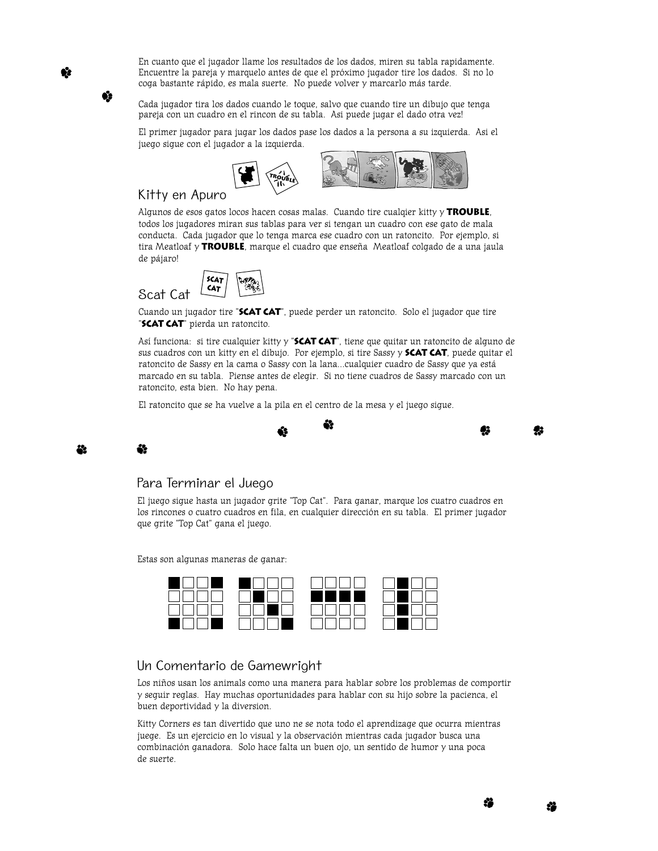En cuanto que el jugador llame los resultados de los dados, miren su tabla rapidamente. Encuentre la pareja y marquelo antes de que el próximo jugador tire los dados. Si no lo coga bastante rápido, es mala suerte. No puede volver y marcarlo más tarde.

Cada jugador tira los dados cuando le toque, salvo que cuando tire un dibujo que tenga pareja con un cuadro en el rincon de su tabla. Asi puede jugar el dado otra vez!

El primer jugador para jugar los dados pase los dados a la persona a su izquierda. Asi el juego sigue con el jugador a la izquierda.



## Kitty en Apuro

Algunos de esos gatos locos hacen cosas malas. Cuando tire cualqier kitty y **TROUBLE**, todos los jugadores miran sus tablas para ver si tengan un cuadro con ese gato de mala conducta. Cada jugador que lo tenga marca ese cuadro con un ratoncito. Por ejemplo, si tira Meatloaf y **TROUBLE**, marque el cuadro que enseña Meatloaf colgado de a una jaula de pájaro!



Cuando un jugador tire "**Scat Cat**", puede perder un ratoncito. Solo el jugador que tire "**SCAT CAT**" pierda un ratoncito.

Así funciona: si tire cualquier kitty y "**Scat Cat**", tiene que quitar un ratoncito de alguno de sus cuadros con un kitty en el dibujo. Por ejemplo, si tire Sassy y **Scat Cat**, puede quitar el ratoncito de Sassy en la cama o Sassy con la lana…cualquier cuadro de Sassy que ya está marcado en su tabla. Piense antes de elegir. Si no tiene cuadros de Sassy marcado con un ratoncito, esta bien. No hay pena.

El ratoncito que se ha vuelve a la pila en el centro de la mesa y el juego sigue.



42

### Para Terminar el Juego

25

El juego sigue hasta un jugador grite "Top Cat". Para ganar, marque los cuatro cuadros en los rincones o cuatro cuadros en fila, en cualquier dirección en su tabla. El primer jugador que grite "Top Cat" gana el juego.

Estas son algunas maneras de ganar:

|  |            | and the second |
|--|------------|----------------|
|  | ME NI<br>щ |                |
|  |            | a ka           |
|  |            |                |

# Un Comentario de Gamewright

Los niños usan los animals como una manera para hablar sobre los problemas de comportir y seguir reglas. Hay muchas oportunidades para hablar con su hijo sobre la pacienca, el buen deportividad y la diversion.

Kitty Corners es tan divertido que uno ne se nota todo el aprendizage que ocurra mientras juege. Es un ejercicio en lo visual y la observación mientras cada jugador busca una combinación ganadora. Solo hace falta un buen ojo, un sentido de humor y una poca de suerte.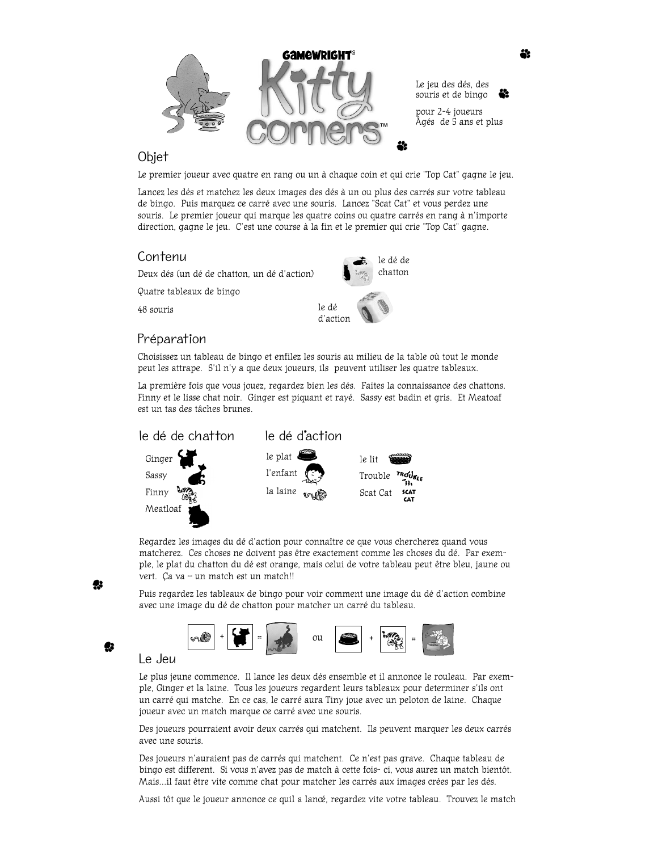

Le jeu des dés, des souris et de bingo pour 2-4 joueurs Âgés de 5 ans et plus

## Objet

Le premier joueur avec quatre en rang ou un à chaque coin et qui crie "Top Cat" gagne le jeu.

Lancez les dés et matchez les deux images des dés à un ou plus des carrés sur votre tableau de bingo. Puis marquez ce carré avec une souris. Lancez "Scat Cat" et vous perdez une souris. Le premier joueur qui marque les quatre coins ou quatre carrés en rang à n'importe direction, gagne le jeu. C'est une course à la fin et le premier qui crie "Top Cat" gagne.

> le dé de chatton

### Contenu

Deux dés (un dé de chatton, un dé d'action)

Quatre tableaux de bingo

48 souris

# Préparation

Choisissez un tableau de bingo et enfilez les souris au milieu de la table où tout le monde peut les attrape. S'il n'y a que deux joueurs, ils peuvent utiliser les quatre tableaux.

le dé d'action

La première fois que vous jouez, regardez bien les dés. Faites la connaissance des chattons. Finny et le lisse chat noir. Ginger est piquant et rayé. Sassy est badin et gris. Et Meatoaf est un tas des tâches brunes.



Regardez les images du dé d'action pour connaître ce que vous chercherez quand vous matcherez. Ces choses ne doivent pas être exactement comme les choses du dé. Par exemple, le plat du chatton du dé est orange, mais celui de votre tableau peut être bleu, jaune ou vert. Ça va – un match est un match!!

Puis regardez les tableaux de bingo pour voir comment une image du dé d'action combine avec une image du dé de chatton pour matcher un carré du tableau.



Le Jeu

Le plus jeune commence. Il lance les deux dés ensemble et il annonce le rouleau. Par exemple, Ginger et la laine. Tous les joueurs regardent leurs tableaux pour determiner s'ils ont un carré qui matche. En ce cas, le carré aura Tiny joue avec un peloton de laine. Chaque joueur avec un match marque ce carré avec une souris.

Des joueurs pourraient avoir deux carrés qui matchent. Ils peuvent marquer les deux carrés avec une souris.

Des joueurs n'auraient pas de carrés qui matchent. Ce n'est pas grave. Chaque tableau de bingo est different. Si vous n'avez pas de match à cette fois- ci, vous aurez un match bientôt. Mais…il faut être vite comme chat pour matcher les carrés aux images crées par les dés.

Aussi tôt que le joueur annonce ce quil a lancé, regardez vite votre tableau. Trouvez le match